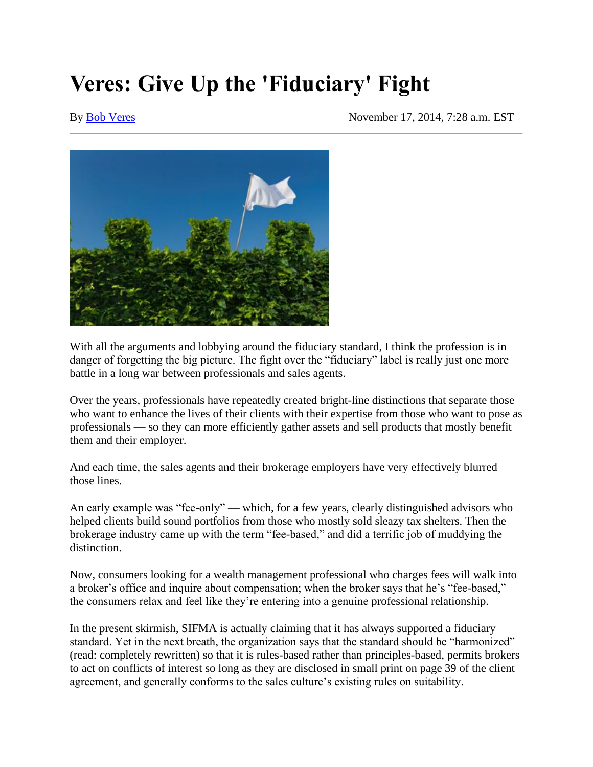# **Veres: Give Up the 'Fiduciary' Fight**

#### By [Bob Veres](https://www.financial-planning.com/author/bob-veres-iag183) November 17, 2014, 7:28 a.m. EST



With all the arguments and lobbying around the fiduciary standard, I think the profession is in danger of forgetting the big picture. The fight over the "fiduciary" label is really just one more battle in a long war between professionals and sales agents.

Over the years, professionals have repeatedly created bright-line distinctions that separate those who want to enhance the lives of their clients with their expertise from those who want to pose as professionals — so they can more efficiently gather assets and sell products that mostly benefit them and their employer.

And each time, the sales agents and their brokerage employers have very effectively blurred those lines.

An early example was "fee-only" — which, for a few years, clearly distinguished advisors who helped clients build sound portfolios from those who mostly sold sleazy tax shelters. Then the brokerage industry came up with the term "fee-based," and did a terrific job of muddying the distinction.

Now, consumers looking for a wealth management professional who charges fees will walk into a broker's office and inquire about compensation; when the broker says that he's "fee-based," the consumers relax and feel like they're entering into a genuine professional relationship.

In the present skirmish, SIFMA is actually claiming that it has always supported a fiduciary standard. Yet in the next breath, the organization says that the standard should be "harmonized" (read: completely rewritten) so that it is rules-based rather than principles-based, permits brokers to act on conflicts of interest so long as they are disclosed in small print on page 39 of the client agreement, and generally conforms to the sales culture's existing rules on suitability.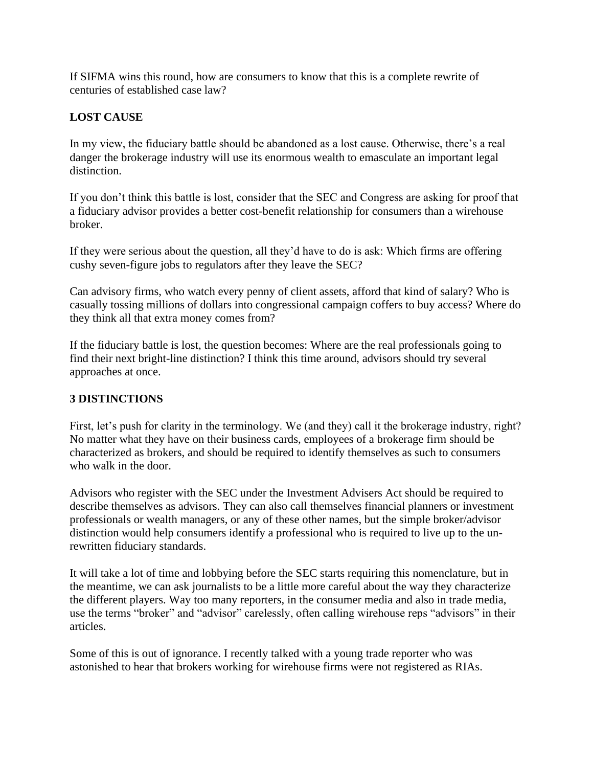If SIFMA wins this round, how are consumers to know that this is a complete rewrite of centuries of established case law?

## **LOST CAUSE**

In my view, the fiduciary battle should be abandoned as a lost cause. Otherwise, there's a real danger the brokerage industry will use its enormous wealth to emasculate an important legal distinction.

If you don't think this battle is lost, consider that the SEC and Congress are asking for proof that a fiduciary advisor provides a better cost-benefit relationship for consumers than a wirehouse broker.

If they were serious about the question, all they'd have to do is ask: Which firms are offering cushy seven-figure jobs to regulators after they leave the SEC?

Can advisory firms, who watch every penny of client assets, afford that kind of salary? Who is casually tossing millions of dollars into congressional campaign coffers to buy access? Where do they think all that extra money comes from?

If the fiduciary battle is lost, the question becomes: Where are the real professionals going to find their next bright-line distinction? I think this time around, advisors should try several approaches at once.

### **3 DISTINCTIONS**

First, let's push for clarity in the terminology. We (and they) call it the brokerage industry, right? No matter what they have on their business cards, employees of a brokerage firm should be characterized as brokers, and should be required to identify themselves as such to consumers who walk in the door.

Advisors who register with the SEC under the Investment Advisers Act should be required to describe themselves as advisors. They can also call themselves financial planners or investment professionals or wealth managers, or any of these other names, but the simple broker/advisor distinction would help consumers identify a professional who is required to live up to the unrewritten fiduciary standards.

It will take a lot of time and lobbying before the SEC starts requiring this nomenclature, but in the meantime, we can ask journalists to be a little more careful about the way they characterize the different players. Way too many reporters, in the consumer media and also in trade media, use the terms "broker" and "advisor" carelessly, often calling wirehouse reps "advisors" in their articles.

Some of this is out of ignorance. I recently talked with a young trade reporter who was astonished to hear that brokers working for wirehouse firms were not registered as RIAs.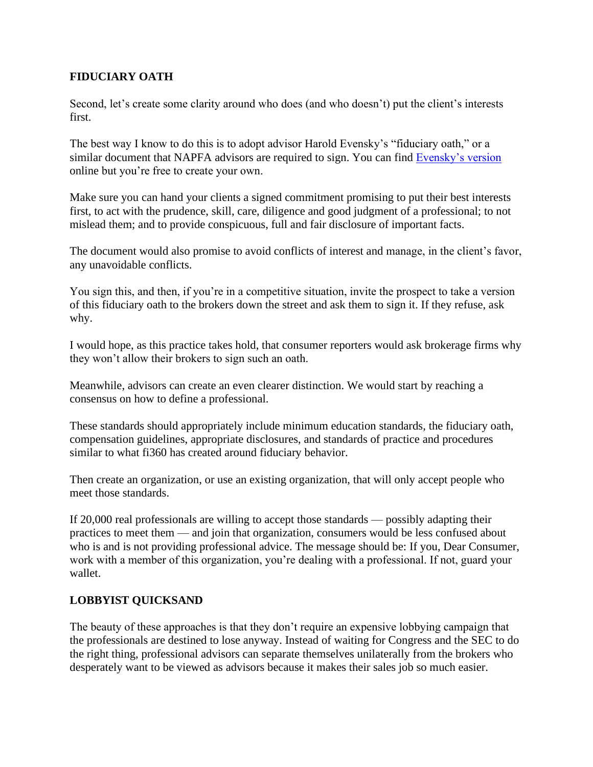### **FIDUCIARY OATH**

Second, let's create some clarity around who does (and who doesn't) put the client's interests first.

The best way I know to do this is to adopt advisor Harold Evensky's "fiduciary oath," or a similar document that NAPFA advisors are required to sign. You can find [Evensky's version](http://www.advisorperspectives.com/pdfs/FIDUCIARY_OATH-GENERAL.pdf) online but you're free to create your own.

Make sure you can hand your clients a signed commitment promising to put their best interests first, to act with the prudence, skill, care, diligence and good judgment of a professional; to not mislead them; and to provide conspicuous, full and fair disclosure of important facts.

The document would also promise to avoid conflicts of interest and manage, in the client's favor, any unavoidable conflicts.

You sign this, and then, if you're in a competitive situation, invite the prospect to take a version of this fiduciary oath to the brokers down the street and ask them to sign it. If they refuse, ask why.

I would hope, as this practice takes hold, that consumer reporters would ask brokerage firms why they won't allow their brokers to sign such an oath.

Meanwhile, advisors can create an even clearer distinction. We would start by reaching a consensus on how to define a professional.

These standards should appropriately include minimum education standards, the fiduciary oath, compensation guidelines, appropriate disclosures, and standards of practice and procedures similar to what fi360 has created around fiduciary behavior.

Then create an organization, or use an existing organization, that will only accept people who meet those standards.

If 20,000 real professionals are willing to accept those standards — possibly adapting their practices to meet them — and join that organization, consumers would be less confused about who is and is not providing professional advice. The message should be: If you, Dear Consumer, work with a member of this organization, you're dealing with a professional. If not, guard your wallet.

### **LOBBYIST QUICKSAND**

The beauty of these approaches is that they don't require an expensive lobbying campaign that the professionals are destined to lose anyway. Instead of waiting for Congress and the SEC to do the right thing, professional advisors can separate themselves unilaterally from the brokers who desperately want to be viewed as advisors because it makes their sales job so much easier.